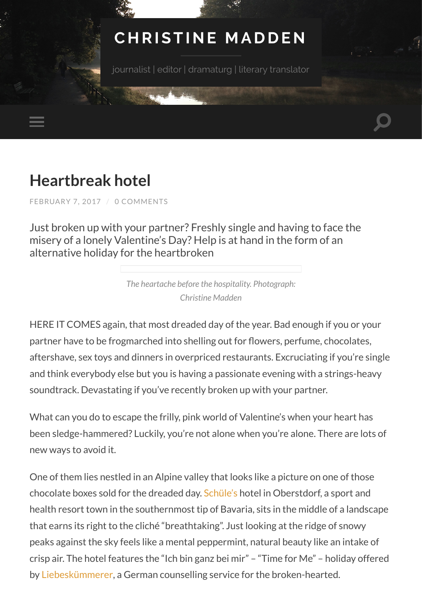# **[CHRISTINE MADDEN](http://christine-madden.com/)**

journalist | editor | dramaturg | literary translator

# **[Heartbreak hotel](http://christine-madden.com/heartbreak-hotel/)**

[FEBRUARY 7, 2017](http://christine-madden.com/heartbreak-hotel/) / [0 COMMENTS](#page-6-0)

Just broken up with your partner? Freshly single and having to face the misery of a lonely Valentine's Day? Help is at hand in the form of an alternative holiday for the heartbroken

> *The heartache before the hospitality. Photograph: Christine Madden*

HERE IT COMES again, that most dreaded day of the year. Bad enough if you or your partner have to be frogmarched into shelling out for flowers, perfume, chocolates, aftershave, sex toys and dinners in overpriced restaurants. Excruciating if you're single and think everybody else but you is having a passionate evening with a strings-heavy soundtrack. Devastating if you've recently broken up with your partner.

What can you do to escape the frilly, pink world of Valentine's when your heart has been sledge-hammered? Luckily, you're not alone when you're alone. There are lots of new ways to avoid it.

One of them lies nestled in an Alpine valley that looks like a picture on one of those chocolate boxes sold for the dreaded day. [Schüle's](http://www.schueles.com/) hotel in Oberstdorf, a sport and health resort town in the southernmost tip of Bavaria, sits in the middle of a landscape that earns its right to the cliché "breathtaking". Just looking at the ridge of snowy peaks against the sky feels like a mental peppermint, natural beauty like an intake of crisp air. The hotel features the "Ich bin ganz bei mir" – "Time for Me" – holiday offered by [Liebeskümmerer](http://die-liebeskuemmerer.de/), a German counselling service for the broken-hearted.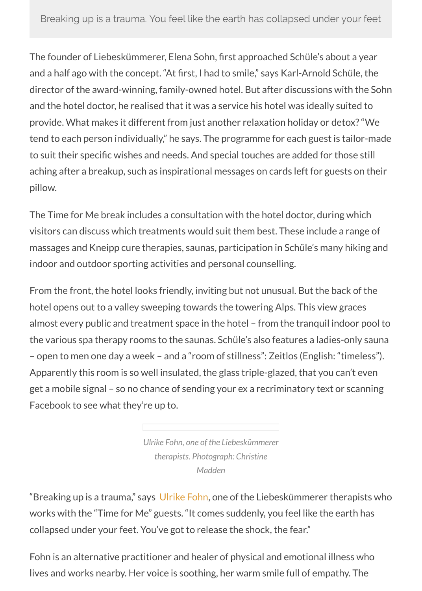The founder of Liebeskümmerer, Elena Sohn, first approached Schüle's about a year and a half ago with the concept. "At first, I had to smile," says Karl-Arnold Schüle, the director of the award-winning, family-owned hotel. But after discussions with the Sohn and the hotel doctor, he realised that it was a service his hotel was ideally suited to provide. What makes it different from just another relaxation holiday or detox? "We tend to each person individually," he says. The programme for each guest is tailor-made to suit their specific wishes and needs. And special touches are added for those still aching after a breakup, such as inspirational messages on cards left for guests on their pillow.

The Time for Me break includes a consultation with the hotel doctor, during which visitors can discuss which treatments would suit them best. These include a range of massages and Kneipp cure therapies, saunas, participation in Schüle's many hiking and indoor and outdoor sporting activities and personal counselling.

From the front, the hotel looks friendly, inviting but not unusual. But the back of the hotel opens out to a valley sweeping towards the towering Alps. This view graces almost every public and treatment space in the hotel – from the tranquil indoor pool to the various spa therapy rooms to the saunas. Schüle's also features a ladies-only sauna – open to men one day a week – and a "room of stillness": Zeitlos (English: "timeless"). Apparently this room is so well insulated, the glass triple-glazed, that you can't even get a mobile signal – so no chance of sending your ex a recriminatory text or scanning Facebook to see what they're up to.

> *Ulrike Fohn, one of the Liebeskümmerer therapists. Photograph: Christine Madden*

"Breaking up is a trauma," says [Ulrike Fohn,](http://www.praxisfuerseeleundco.de/) one of the Liebeskümmerer therapists who works with the "Time for Me" guests. "It comes suddenly, you feel like the earth has collapsed under your feet. You've got to release the shock, the fear."

Fohn is an alternative practitioner and healer of physical and emotional illness who lives and works nearby. Her voice is soothing, her warm smile full of empathy. The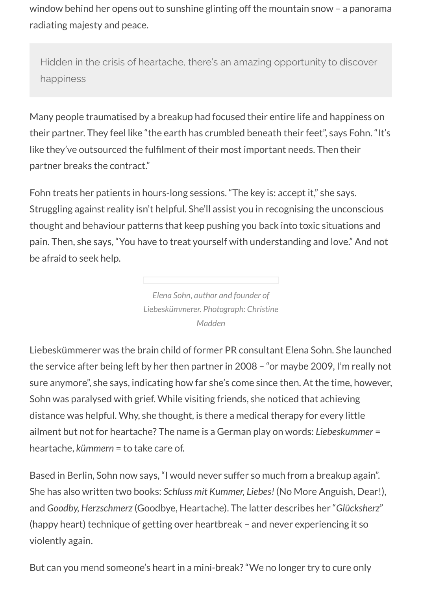window behind her opens out to sunshine glinting off the mountain snow – a panorama radiating majesty and peace.

Hidden in the crisis of heartache, there's an amazing opportunity to discover happiness

Many people traumatised by a breakup had focused their entire life and happiness on their partner. They feel like "the earth has crumbled beneath their feet", says Fohn. "It's like they've outsourced the fulfilment of their most important needs. Then their partner breaks the contract."

Fohn treats her patients in hours-long sessions. "The key is: accept it," she says. Struggling against reality isn't helpful. She'll assist you in recognising the unconscious thought and behaviour patterns that keep pushing you back into toxic situations and pain. Then, she says, "You have to treat yourself with understanding and love." And not be afraid to seek help.

> *Elena Sohn, author and founder of Liebeskümmerer. Photograph: Christine Madden*

Liebeskümmerer was the brain child of former PR consultant Elena Sohn. She launched the service after being left by her then partner in 2008 – "or maybe 2009, I'm really not sure anymore", she says, indicating how far she's come since then. At the time, however, Sohn was paralysed with grief. While visiting friends, she noticed that achieving distance was helpful. Why, she thought, is there a medical therapy for every little ailment but not for heartache? The name is a German play on words: *Liebeskummer* = heartache, *kümmern* = to take care of.

Based in Berlin, Sohn now says, "I would never suffer so much from a breakup again". She has also written two books: *Schluss mit Kummer, Liebes!* (No More Anguish, Dear!), and *Goodby, Herzschmerz* (Goodbye, Heartache). The latter describes her "*Glücksherz*" (happy heart) technique of getting over heartbreak – and never experiencing it so violently again.

But can you mend someone's heart in a mini-break? "We no longer try to cure only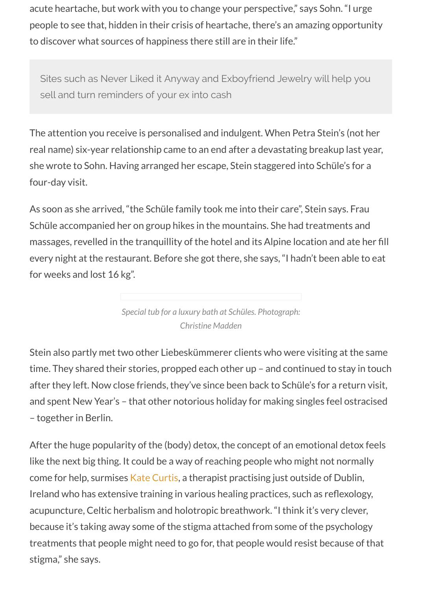acute heartache, but work with you to change your perspective," says Sohn. "I urge people to see that, hidden in their crisis of heartache, there's an amazing opportunity to discover what sources of happiness there still are in their life."

Sites such as Never Liked it Anyway and Exboyfriend Jewelry will help you sell and turn reminders of your ex into cash

The attention you receive is personalised and indulgent. When Petra Stein's (not her real name) six-year relationship came to an end after a devastating breakup last year, she wrote to Sohn. Having arranged her escape, Stein staggered into Schüle's for a four-day visit.

As soon as she arrived, "the Schüle family took me into their care", Stein says. Frau Schüle accompanied her on group hikes in the mountains. She had treatments and massages, revelled in the tranquillity of the hotel and its Alpine location and ate her fill every night at the restaurant. Before she got there, she says, "I hadn't been able to eat for weeks and lost 16 kg".

> *Special tub for a luxury bath at Schüles. Photograph: Christine Madden*

Stein also partly met two other Liebeskümmerer clients who were visiting at the same time. They shared their stories, propped each other up – and continued to stay in touch after they left. Now close friends, they've since been back to Schüle's for a return visit, and spent New Year's – that other notorious holiday for making singles feel ostracised – together in Berlin.

After the huge popularity of the (body) detox, the concept of an emotional detox feels like the next big thing. It could be a way of reaching people who might not normally come for help, surmises [Kate Curtis,](http://goldenspearshealing.com/about-us/) a therapist practising just outside of Dublin, Ireland who has extensive training in various healing practices, such as reflexology, acupuncture, Celtic herbalism and holotropic breathwork. "I think it's very clever, because it's taking away some of the stigma attached from some of the psychology treatments that people might need to go for, that people would resist because of that stigma," she says.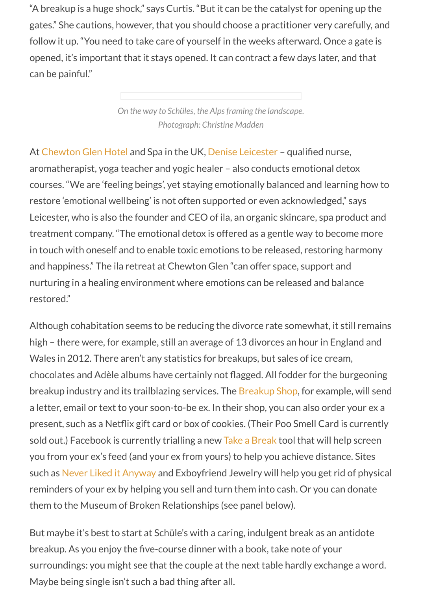"A breakup is a huge shock," says Curtis. "But it can be the catalyst for opening up the gates." She cautions, however, that you should choose a practitioner very carefully, and follow it up. "You need to take care of yourself in the weeks afterward. Once a gate is opened, it's important that it stays opened. It can contract a few days later, and that can be painful."

> *On the way to Schüles, the Alps framing the landscape. Photograph: Christine Madden*

At [Chewton Glen Hotel](http://www.chewtonglen.com/) and Spa in the UK, [Denise Leicester](http://www.ila-spa.com/about-ila/our-founder) – qualified nurse, aromatherapist, yoga teacher and yogic healer – also conducts emotional detox courses. "We are 'feeling beings', yet staying emotionally balanced and learning how to restore 'emotional wellbeing' is not often supported or even acknowledged," says Leicester, who is also the founder and CEO of ila, an organic skincare, spa product and treatment company. "The emotional detox is offered as a gentle way to become more in touch with oneself and to enable toxic emotions to be released, restoring harmony and happiness." The ila retreat at Chewton Glen "can offer space, support and nurturing in a healing environment where emotions can be released and balance restored."

Although cohabitation seems to be reducing the divorce rate somewhat, it still remains high – there were, for example, still an average of 13 divorces an hour in England and Wales in 2012. There aren't any statistics for breakups, but sales of ice cream, chocolates and Adèle albums have certainly not flagged. All fodder for the burgeoning breakup industry and its trailblazing services. The [Breakup Shop,](http://breakupshop.com/) for example, will send a letter, email or text to your soon-to-be ex. In their shop, you can also order your ex a present, such as a Netflix gift card or box of cookies. (Their Poo Smell Card is currently sold out.) Facebook is currently trialling a new [Take a Break](https://www.theguardian.com/technology/2015/nov/20/facebook-stalking-your-ex-online-take-a-break) tool that will help screen you from your ex's feed (and your ex from yours) to help you achieve distance. Sites such as [Never Liked it Anyway](https://www.neverlikeditanyway.com/) and Exboyfriend Jewelry will help you get rid of physical reminders of your ex by helping you sell and turn them into cash. Or you can donate them to the Museum of Broken Relationships (see panel below).

But maybe it's best to start at Schüle's with a caring, indulgent break as an antidote breakup. As you enjoy the five-course dinner with a book, take note of your surroundings: you might see that the couple at the next table hardly exchange a word. Maybe being single isn't such a bad thing after all.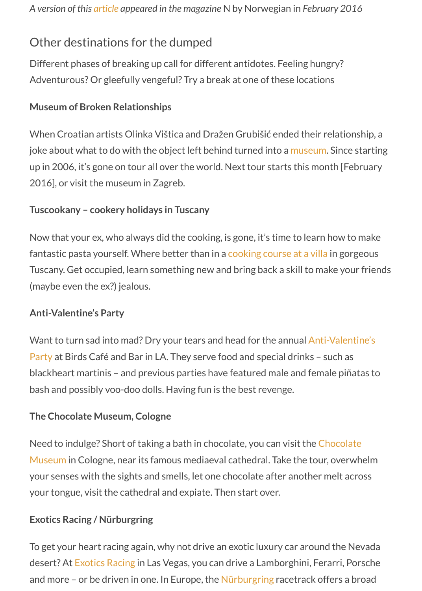### Other destinations for the dumped

Different phases of breaking up call for different antidotes. Feeling hungry? Adventurous? Or gleefully vengeful? Try a break at one of these locations

#### **Museum of Broken Relationships**

When Croatian artists Olinka Vištica and Dražen Grubišić ended their relationship, a joke about what to do with the object left behind turned into a [museum](https://brokenships.com/). Since starting up in 2006, it's gone on tour all over the world. Next tour starts this month [February 2016], or visit the museum in Zagreb.

#### **Tuscookany – cookery holidays in Tuscany**

Now that your ex, who always did the cooking, is gone, it's time to learn how to make fantastic pasta yourself. Where better than in a [cooking course at a villa](http://www.italiancookerycourse.com/) in gorgeous Tuscany. Get occupied, learn something new and bring back a skill to make your friends (maybe even the ex?) jealous.

#### **Anti-Valentine's Party**

[Want to turn sad into mad? Dry your tears and head for the annual Anti-Valentine's](http://www.birdshollywood.com/) Party at Birds Café and Bar in LA. They serve food and special drinks – such as blackheart martinis – and previous parties have featured male and female piñatas to bash and possibly voo-doo dolls. Having fun is the best revenge.

#### **The Chocolate Museum, Cologne**

[Need to indulge? Short of taking a bath in chocolate, you can visit the Chocolate](http://www.chocolatemuseum-cologne.com/) Museum in Cologne, near its famous mediaeval cathedral. Take the tour, overwhelm your senses with the sights and smells, let one chocolate after another melt across your tongue, visit the cathedral and expiate. Then start over.

#### **Exotics Racing / Nürburgring**

To get your heart racing again, why not drive an exotic luxury car around the Nevada desert? At [Exotics Racing](http://www.exoticsracing.com/) in Las Vegas, you can drive a Lamborghini, Ferarri, Porsche and more – or be driven in one. In Europe, the [Nürburgring](http://www.nuerburgring.de/en/home.html) racetrack offers a broad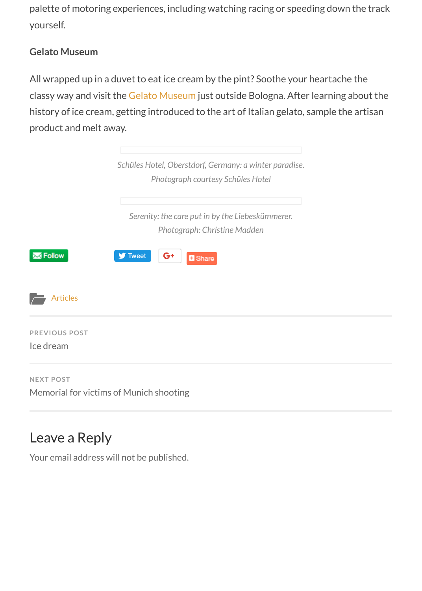palette of motoring experiences, including watching racing or speeding down the track yourself.

#### **Gelato Museum**

All wrapped up in a duvet to eat ice cream by the pint? Soothe your heartache the classy way and visit the [Gelato Museum](http://gelatomuseum.com/en/) just outside Bologna. After learning about the history of ice cream, getting introduced to the art of Italian gelato, sample the artisan product and melt away.

|                                   | Schüles Hotel, Oberstdorf, Germany: a winter paradise.<br>Photograph courtesy Schüles Hotel |
|-----------------------------------|---------------------------------------------------------------------------------------------|
|                                   | Serenity: the care put in by the Liebeskümmerer.<br>Photograph: Christine Madden            |
| $\overline{\phantom{a}}$ Follow   | <b>y</b> Tweet<br>G+<br><b>B</b> Share                                                      |
| <b>Articles</b>                   |                                                                                             |
| <b>PREVIOUS POST</b><br>Ice dream |                                                                                             |
| <b>NEXT POST</b>                  |                                                                                             |

[Memorial for victims of Munich shooting](http://christine-madden.com/memorial-for-victims-of-munich-shooting/)

## <span id="page-6-0"></span>Leave a Reply

Your email address will not be published.